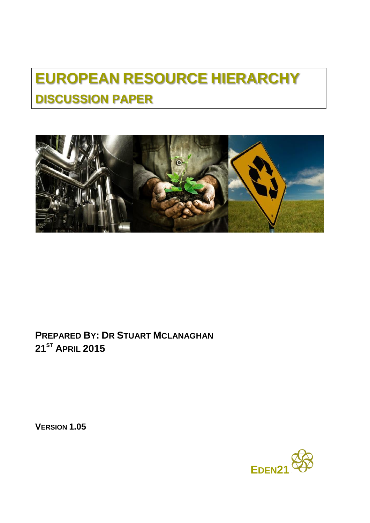# **EUROPEAN RESOURCE HIERARCHY DISCUSSION PAPER**



**PREPARED BY: DR STUART MCLANAGHAN 21ST APRIL 2015**

**VERSION 1.05**

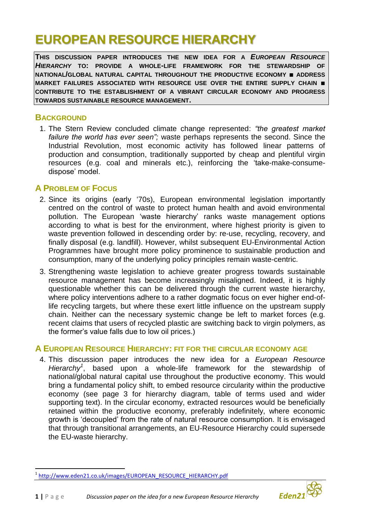## **EUROPEAN RESOURCE HIERARCHY**

**THIS DISCUSSION PAPER INTRODUCES THE NEW IDEA FOR A** *EUROPEAN RESOURCE HIERARCHY* **TO: PROVIDE A WHOLE-LIFE FRAMEWORK FOR THE STEWARDSHIP OF NATIONAL/GLOBAL NATURAL CAPITAL THROUGHOUT THE PRODUCTIVE ECONOMY ■ ADDRESS MARKET FAILURES ASSOCIATED WITH RESOURCE USE OVER THE ENTIRE SUPPLY CHAIN ■ CONTRIBUTE TO THE ESTABLISHMENT OF A VIBRANT CIRCULAR ECONOMY AND PROGRESS TOWARDS SUSTAINABLE RESOURCE MANAGEMENT.**

#### **BACKGROUND**

1. The Stern Review concluded climate change represented: *"the greatest market failure the world has ever seen";* waste perhaps represents the second. Since the Industrial Revolution, most economic activity has followed linear patterns of production and consumption, traditionally supported by cheap and plentiful virgin resources (e.g. coal and minerals etc.), reinforcing the 'take-make-consumedispose' model.

#### **A PROBLEM OF FOCUS**

- 2. Since its origins (early '70s), European environmental legislation importantly centred on the control of waste to protect human health and avoid environmental pollution. The European 'waste hierarchy' ranks waste management options according to what is best for the environment, where highest priority is given to waste prevention followed in descending order by: re-use, recycling, recovery, and finally disposal (e.g. landfill). However, whilst subsequent EU-Environmental Action Programmes have brought more policy prominence to sustainable production and consumption, many of the underlying policy principles remain waste-centric.
- 3. Strengthening waste legislation to achieve greater progress towards sustainable resource management has become increasingly misaligned. Indeed, it is highly questionable whether this can be delivered through the current waste hierarchy, where policy interventions adhere to a rather dogmatic focus on ever higher end-oflife recycling targets, but where these exert little influence on the upstream supply chain. Neither can the necessary systemic change be left to market forces (e.g. recent claims that users of recycled plastic are switching back to virgin polymers, as the former's value falls due to low oil prices.)

#### **A EUROPEAN RESOURCE HIERARCHY: FIT FOR THE CIRCULAR ECONOMY AGE**

4. This discussion paper introduces the new idea for a *European Resource Hierarchy<sup>1</sup>* , based upon a whole-life framework for the stewardship of national/global natural capital use throughout the productive economy. This would bring a fundamental policy shift, to embed resource circularity within the productive economy (see page 3 for hierarchy diagram, table of terms used and wider supporting text). In the circular economy, extracted resources would be beneficially retained within the productive economy, preferably indefinitely, where economic growth is 'decoupled' from the rate of natural resource consumption. It is envisaged that through transitional arrangements, an EU-Resource Hierarchy could supersede the EU-waste hierarchy.



 $\overline{\phantom{a}}$ 1 [http://www.eden21.co.uk/images/EUROPEAN\\_RESOURCE\\_HIERARCHY.pdf](http://www.eden21.co.uk/images/EUROPEAN_RESOURCE_HIERARCHY.pdf)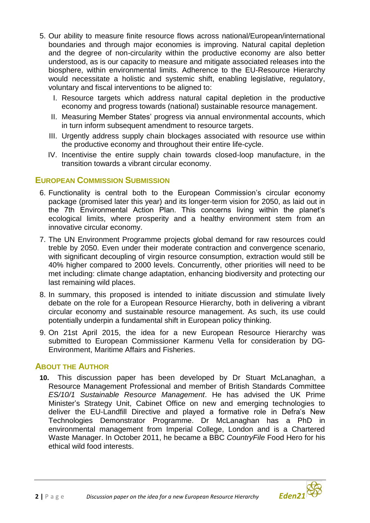- 5. Our ability to measure finite resource flows across national/European/international boundaries and through major economies is improving. Natural capital depletion and the degree of non-circularity within the productive economy are also better understood, as is our capacity to measure and mitigate associated releases into the biosphere, within environmental limits. Adherence to the EU-Resource Hierarchy would necessitate a holistic and systemic shift, enabling legislative, regulatory, voluntary and fiscal interventions to be aligned to:
	- I. Resource targets which address natural capital depletion in the productive economy and progress towards (national) sustainable resource management.
	- II. Measuring Member States' progress via annual environmental accounts, which in turn inform subsequent amendment to resource targets.
	- III. Urgently address supply chain blockages associated with resource use within the productive economy and throughout their entire life-cycle.
	- IV. Incentivise the entire supply chain towards closed-loop manufacture, in the transition towards a vibrant circular economy.

#### **EUROPEAN COMMISSION SUBMISSION**

- 6. Functionality is central both to the European Commission's circular economy package (promised later this year) and its longer-term vision for 2050, as laid out in the 7th Environmental Action Plan. This concerns living within the planet's ecological limits, where prosperity and a healthy environment stem from an innovative circular economy.
- 7. The UN Environment Programme projects global demand for raw resources could treble by 2050. Even under their moderate contraction and convergence scenario, with significant decoupling of virgin resource consumption, extraction would still be 40% higher compared to 2000 levels. Concurrently, other priorities will need to be met including: climate change adaptation, enhancing biodiversity and protecting our last remaining wild places.
- 8. In summary, this proposed is intended to initiate discussion and stimulate lively debate on the role for a European Resource Hierarchy, both in delivering a vibrant circular economy and sustainable resource management. As such, its use could potentially underpin a fundamental shift in European policy thinking.
- 9. On 21st April 2015, the idea for a new European Resource Hierarchy was submitted to European Commissioner Karmenu Vella for consideration by DG-Environment, Maritime Affairs and Fisheries.

#### **ABOUT THE AUTHOR**

**10.** This discussion paper has been developed by Dr Stuart McLanaghan, a Resource Management Professional and member of British Standards Committee *ES/10/1 Sustainable Resource Management*. He has advised the UK Prime Minister's Strategy Unit, Cabinet Office on new and emerging technologies to deliver the EU-Landfill Directive and played a formative role in Defra's New Technologies Demonstrator Programme. Dr McLanaghan has a PhD in environmental management from Imperial College, London and is a Chartered Waste Manager. In October 2011, he became a BBC *CountryFile* Food Hero for his ethical wild food interests.

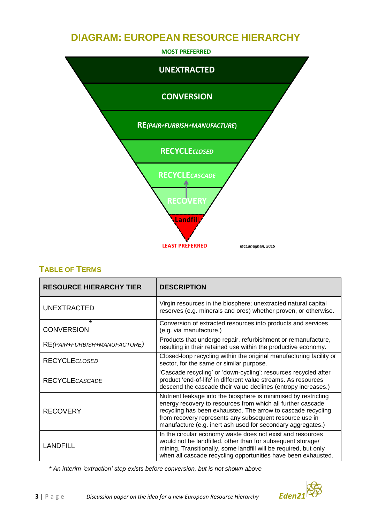## **DIAGRAM: EUROPEAN RESOURCE HIERARCHY**



### **TABLE OF TERMS**

| <b>RESOURCE HIERARCHY TIER</b> | <b>DESCRIPTION</b>                                                                                                                                                                                                                                                                                                       |
|--------------------------------|--------------------------------------------------------------------------------------------------------------------------------------------------------------------------------------------------------------------------------------------------------------------------------------------------------------------------|
| <b>UNEXTRACTED</b>             | Virgin resources in the biosphere; unextracted natural capital<br>reserves (e.g. minerals and ores) whether proven, or otherwise.                                                                                                                                                                                        |
| $\star$<br><b>CONVERSION</b>   | Conversion of extracted resources into products and services<br>(e.g. via manufacture.)                                                                                                                                                                                                                                  |
| RE(PAIR+FURBISH+MANUFACTURE)   | Products that undergo repair, refurbishment or remanufacture,<br>resulting in their retained use within the productive economy.                                                                                                                                                                                          |
| <b>RECYCLECLOSED</b>           | Closed-loop recycling within the original manufacturing facility or<br>sector, for the same or similar purpose.                                                                                                                                                                                                          |
| <b>RECYCLE CASCADE</b>         | 'Cascade recycling' or 'down-cycling': resources recycled after<br>product 'end-of-life' in different value streams. As resources<br>descend the cascade their value declines (entropy increases.)                                                                                                                       |
| <b>RECOVERY</b>                | Nutrient leakage into the biosphere is minimised by restricting<br>energy recovery to resources from which all further cascade<br>recycling has been exhausted. The arrow to cascade recycling<br>from recovery represents any subsequent resource use in<br>manufacture (e.g. inert ash used for secondary aggregates.) |
| <b>LANDFILL</b>                | In the circular economy waste does not exist and resources<br>would not be landfilled, other than for subsequent storage/<br>mining. Transitionally, some landfill will be required, but only<br>when all cascade recycling opportunities have been exhausted.                                                           |

 *\* An interim 'extraction' step exists before conversion, but is not shown above*